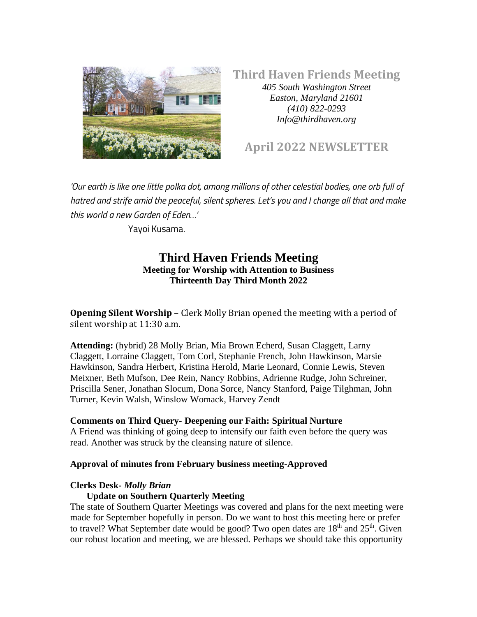

## **Third Haven Friends Meeting** *405 South Washington Street Easton, Maryland 21601 (410) 822-0293*

# **April 2022 NEWSLETTER**

*Info@thirdhaven.org*

*'Our earth is like one little polka dot, among millions of other celestial bodies, one orb full of hatred and strife amid the peaceful, silent spheres. Let's you and I change all that and make this world a new Garden of Eden…'* 

Yayoi Kusama.

# **Third Haven Friends Meeting Meeting for Worship with Attention to Business Thirteenth Day Third Month 2022**

**Opening Silent Worship** – Clerk Molly Brian opened the meeting with a period of silent worship at 11:30 a.m.

**Attending:** (hybrid) 28 Molly Brian, Mia Brown Echerd, Susan Claggett, Larny Claggett, Lorraine Claggett, Tom Corl, Stephanie French, John Hawkinson, Marsie Hawkinson, Sandra Herbert, Kristina Herold, Marie Leonard, Connie Lewis, Steven Meixner, Beth Mufson, Dee Rein, Nancy Robbins, Adrienne Rudge, John Schreiner, Priscilla Sener, Jonathan Slocum, Dona Sorce, Nancy Stanford, Paige Tilghman, John Turner, Kevin Walsh, Winslow Womack, Harvey Zendt

#### **Comments on Third Query- Deepening our Faith: Spiritual Nurture**

A Friend was thinking of going deep to intensify our faith even before the query was read. Another was struck by the cleansing nature of silence.

#### **Approval of minutes from February business meeting-Approved**

#### **Clerks Desk-** *Molly Brian*

#### **Update on Southern Quarterly Meeting**

The state of Southern Quarter Meetings was covered and plans for the next meeting were made for September hopefully in person. Do we want to host this meeting here or prefer to travel? What September date would be good? Two open dates are 18<sup>th</sup> and 25<sup>th</sup>. Given our robust location and meeting, we are blessed. Perhaps we should take this opportunity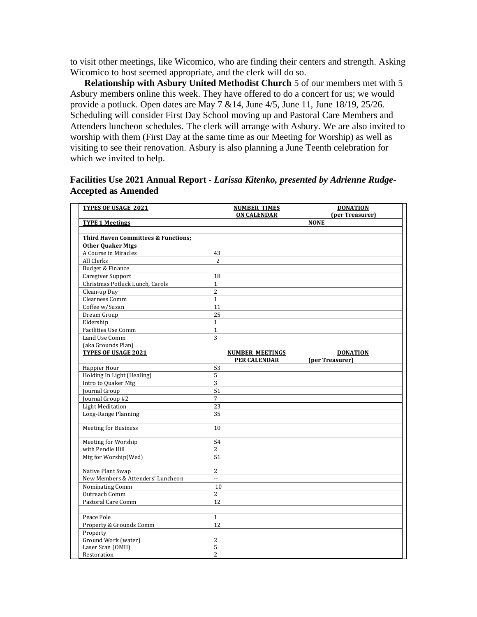to visit other meetings, like Wicomico, who are finding their centers and strength. Asking Wicomico to host seemed appropriate, and the clerk will do so.

 **Relationship with Asbury United Methodist Church** 5 of our members met with 5 Asbury members online this week. They have offered to do a concert for us; we would provide a potluck. Open dates are May  $7 \& 14$ , June  $4/5$ , June 11, June 18/19, 25/26. Scheduling will consider First Day School moving up and Pastoral Care Members and Attenders luncheon schedules. The clerk will arrange with Asbury. We are also invited to worship with them (First Day at the same time as our Meeting for Worship) as well as visiting to see their renovation. Asbury is also planning a June Teenth celebration for which we invited to help.

### **Facilities Use 2021 Annual Report -** *Larissa Kitenko, presented by Adrienne Rudge-***Accepted as Amended**

| <b>TYPES OF USAGE 2021</b>                     | <b>NUMBER TIMES</b>    | <b>DONATION</b> |
|------------------------------------------------|------------------------|-----------------|
|                                                | <b>ON CALENDAR</b>     | (per Treasurer) |
| <b>TYPE 1 Meetings</b>                         |                        | <b>NONE</b>     |
|                                                |                        |                 |
| <b>Third Haven Committees &amp; Functions:</b> |                        |                 |
| <b>Other Quaker Mtgs</b>                       |                        |                 |
| A Course in Miracles                           | 43                     |                 |
| All Clerks                                     | $\overline{2}$         |                 |
| Budget & Finance                               |                        |                 |
| <b>Caregiver Support</b>                       | 18                     |                 |
| Christmas Potluck Lunch, Carols                | $\mathbf{1}$           |                 |
| Clean-up Day                                   | $\overline{2}$         |                 |
| Clearness Comm                                 | $\mathbf{1}$           |                 |
| Coffee w/Susan                                 | 11                     |                 |
| Dream Group                                    | 25                     |                 |
| Eldership                                      | $\mathbf{1}$           |                 |
| <b>Facilities Use Comm</b>                     | $\mathbf{1}$           |                 |
| Land Use Comm                                  | $\overline{3}$         |                 |
| (aka Grounds Plan)                             |                        |                 |
| <b>TYPES OF USAGE 2021</b>                     | <b>NUMBER MEETINGS</b> | <b>DONATION</b> |
|                                                | <b>PER CALENDAR</b>    | (per Treasurer) |
| Happier Hour                                   | 53                     |                 |
| Holding In Light (Healing)                     | 5                      |                 |
| Intro to Quaker Mtg                            | $\overline{3}$         |                 |
| Journal Group                                  | 51                     |                 |
| Journal Group #2                               | $\overline{7}$         |                 |
| <b>Light Meditation</b>                        | 23                     |                 |
| Long-Range Planning                            | 35                     |                 |
| Meeting for Business                           | 10                     |                 |
| Meeting for Worship                            | 54                     |                 |
| with Pendle Hill                               | 2                      |                 |
| Mtg for Worship(Wed)                           | 51                     |                 |
| Native Plant Swap                              | $\overline{c}$         |                 |
| New Members & Attenders' Luncheon              | $\mathbb{L}$           |                 |
| Nominating Comm                                | 10                     |                 |
| Outreach Comm                                  | $\overline{2}$         |                 |
| Pastoral Care Comm                             | 12                     |                 |
| Peace Pole                                     | $\mathbf{1}$           |                 |
| Property & Grounds Comm                        | 12                     |                 |
| Property                                       |                        |                 |
| Ground Work (water)                            | $\overline{c}$         |                 |
| Laser Scan (OMH)                               | 5                      |                 |
| Restoration                                    | $\overline{2}$         |                 |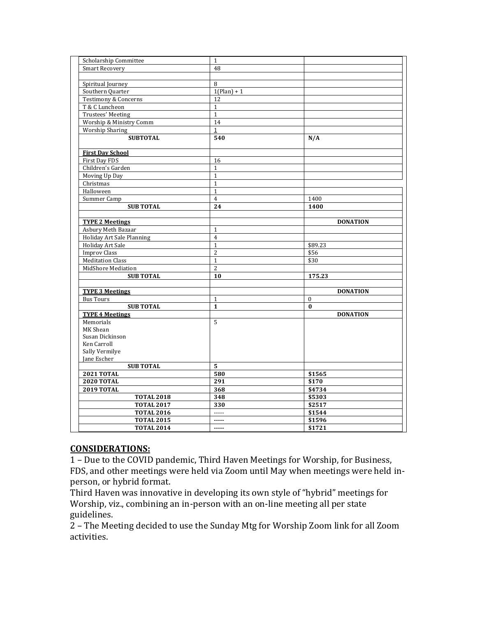| <b>Scholarship Committee</b>    | $\mathbf 1$    |                  |
|---------------------------------|----------------|------------------|
| <b>Smart Recovery</b>           | 48             |                  |
|                                 |                |                  |
| Spiritual Journey               | 8              |                  |
| Southern Quarter                | $1(Plan) + 1$  |                  |
| <b>Testimony &amp; Concerns</b> | 12             |                  |
| T & C Luncheon                  | $\mathbf{1}$   |                  |
| Trustees' Meeting               | $\mathbf{1}$   |                  |
| Worship & Ministry Comm         | 14             |                  |
| Worship Sharing                 | $\mathbf{1}$   |                  |
| <b>SUBTOTAL</b>                 | 540            | N/A              |
|                                 |                |                  |
| <b>First Day School</b>         |                |                  |
| First Day FDS                   | 16             |                  |
| Children's Garden               | $\mathbf{1}$   |                  |
| Moving Up Day                   | $\mathbf 1$    |                  |
| Christmas                       | $\mathbf{1}$   |                  |
| Halloween                       | $\mathbf{1}$   |                  |
| Summer Camp                     | $\overline{4}$ | 1400             |
| <b>SUB TOTAL</b>                | 24             | 1400             |
|                                 |                |                  |
| <b>TYPE 2 Meetings</b>          |                | <b>DONATION</b>  |
| Asbury Meth Bazaar              | $\mathbf{1}$   |                  |
| Holiday Art Sale Planning       | $\overline{4}$ |                  |
| <b>Holiday Art Sale</b>         | $\mathbf{1}$   | \$89.23          |
| <b>Improv Class</b>             | $\overline{2}$ | \$56             |
| <b>Meditation Class</b>         | $\mathbf{1}$   | \$30             |
| MidShore Mediation              | $\overline{c}$ |                  |
| <b>SUB TOTAL</b>                | 10             | 175.23           |
|                                 |                |                  |
| <b>TYPE 3 Meetings</b>          |                | <b>DONATION</b>  |
| <b>Bus Tours</b>                | $\mathbf{1}$   | $\boldsymbol{0}$ |
| <b>SUB TOTAL</b>                | $\mathbf{1}$   | $\bf{0}$         |
| <b>TYPE 4 Meetings</b>          |                | <b>DONATION</b>  |
| Memorials                       | 5              |                  |
| MK Shean                        |                |                  |
| Susan Dickinson                 |                |                  |
| Ken Carroll                     |                |                  |
| Sally Vermilye                  |                |                  |
| Jane Escher                     |                |                  |
| <b>SUB TOTAL</b>                | 5              |                  |
| <b>2021 TOTAL</b>               | 580            | \$1565           |
| <b>2020 TOTAL</b>               | 291            | \$170            |
| <b>2019 TOTAL</b>               | 368            | \$4734           |
| <b>TOTAL 2018</b>               | 348            | \$5303           |
| <b>TOTAL 2017</b>               | 330            | \$2517           |
| <b>TOTAL 2016</b>               | -----          | \$1544           |
| <b>TOTAL 2015</b>               | -----          | \$1596           |
| <b>TOTAL 2014</b>               | -----          | \$1721           |

#### **CONSIDERATIONS:**

1 – Due to the COVID pandemic, Third Haven Meetings for Worship, for Business, FDS, and other meetings were held via Zoom until May when meetings were held inperson, or hybrid format.

Third Haven was innovative in developing its own style of "hybrid" meetings for Worship, viz., combining an in-person with an on-line meeting all per state guidelines.

2 – The Meeting decided to use the Sunday Mtg for Worship Zoom link for all Zoom activities.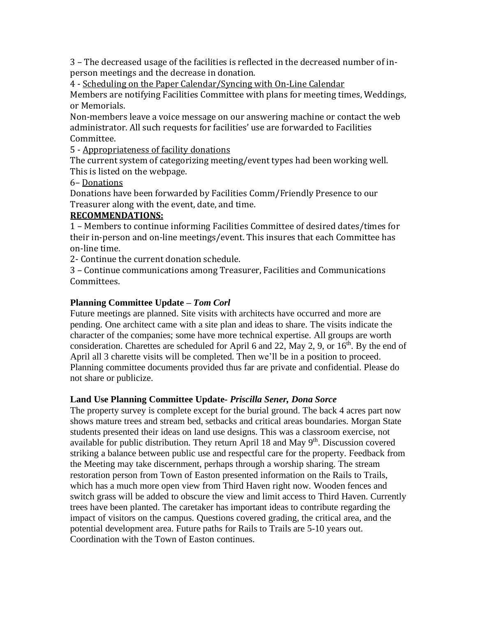3 – The decreased usage of the facilities is reflected in the decreased number of inperson meetings and the decrease in donation.

4 - Scheduling on the Paper Calendar/Syncing with On-Line Calendar

Members are notifying Facilities Committee with plans for meeting times, Weddings, or Memorials.

Non-members leave a voice message on our answering machine or contact the web administrator. All such requests for facilities' use are forwarded to Facilities Committee.

5 - Appropriateness of facility donations

The current system of categorizing meeting/event types had been working well. This is listed on the webpage.

## 6– Donations

Donations have been forwarded by Facilities Comm/Friendly Presence to our Treasurer along with the event, date, and time.

# **RECOMMENDATIONS:**

1 – Members to continue informing Facilities Committee of desired dates/times for their in-person and on-line meetings/event. This insures that each Committee has on-line time.

2- Continue the current donation schedule.

3 – Continue communications among Treasurer, Facilities and Communications Committees.

# **Planning Committee Update** *– Tom Corl*

Future meetings are planned. Site visits with architects have occurred and more are pending. One architect came with a site plan and ideas to share. The visits indicate the character of the companies; some have more technical expertise. All groups are worth consideration. Charettes are scheduled for April 6 and 22, May 2, 9, or  $16<sup>th</sup>$ . By the end of April all 3 charette visits will be completed. Then we'll be in a position to proceed. Planning committee documents provided thus far are private and confidential. Please do not share or publicize.

# **Land Use Planning Committee Update***- Priscilla Sener, Dona Sorce*

The property survey is complete except for the burial ground. The back 4 acres part now shows mature trees and stream bed, setbacks and critical areas boundaries. Morgan State students presented their ideas on land use designs. This was a classroom exercise, not available for public distribution. They return April 18 and May  $9<sup>th</sup>$ . Discussion covered striking a balance between public use and respectful care for the property. Feedback from the Meeting may take discernment, perhaps through a worship sharing. The stream restoration person from Town of Easton presented information on the Rails to Trails, which has a much more open view from Third Haven right now. Wooden fences and switch grass will be added to obscure the view and limit access to Third Haven. Currently trees have been planted. The caretaker has important ideas to contribute regarding the impact of visitors on the campus. Questions covered grading, the critical area, and the potential development area. Future paths for Rails to Trails are 5-10 years out. Coordination with the Town of Easton continues.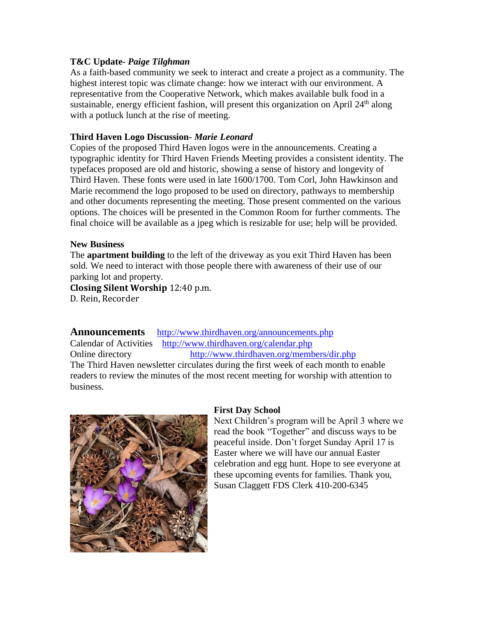### **T&C Update***- Paige Tilghman*

As a faith-based community we seek to interact and create a project as a community. The highest interest topic was climate change: how we interact with our environment. A representative from the Cooperative Network, which makes available bulk food in a sustainable, energy efficient fashion, will present this organization on April  $24<sup>th</sup>$  along with a potluck lunch at the rise of meeting.

### **Third Haven Logo Discussion***- Marie Leonard*

Copies of the proposed Third Haven logos were in the announcements. Creating a typographic identity for Third Haven Friends Meeting provides a consistent identity. The typefaces proposed are old and historic, showing a sense of history and longevity of Third Haven. These fonts were used in late 1600/1700. Tom Corl, John Hawkinson and Marie recommend the logo proposed to be used on directory, pathways to membership and other documents representing the meeting. Those present commented on the various options. The choices will be presented in the Common Room for further comments. The final choice will be available as a jpeg which is resizable for use; help will be provided.

#### **New Business**

The **apartment building** to the left of the driveway as you exit Third Haven has been sold. We need to interact with those people there with awareness of their use of our parking lot and property.

**Closing Silent Worship** 12:40 p.m.

D. Rein, Recorder

**Announcements** <http://www.thirdhaven.org/announcements.php>

Calendar of Activities <http://www.thirdhaven.org/calendar.php> Online directory <http://www.thirdhaven.org/members/dir.php> The Third Haven newsletter circulates during the first week of each month to enable readers to review the minutes of the most recent meeting for worship with attention to business.



#### **First Day School**

Next Children's program will be April 3 where we read the book "Together" and discuss ways to be peaceful inside. Don't forget Sunday April 17 is Easter where we will have our annual Easter celebration and egg hunt. Hope to see everyone at these upcoming events for families. Thank you, Susan Claggett FDS Clerk 410-200-6345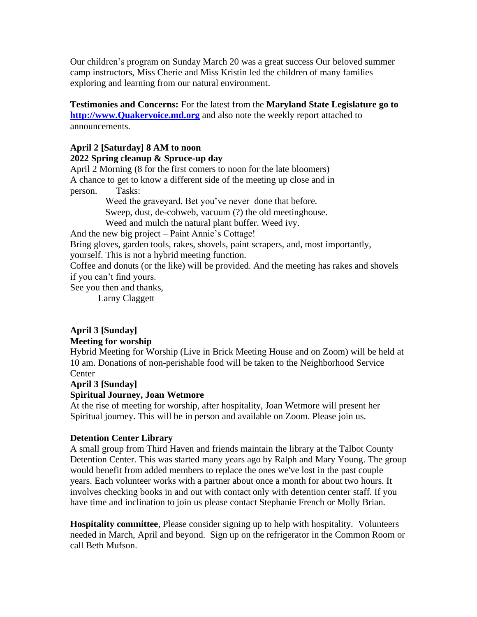Our children's program on Sunday March 20 was a great success Our beloved summer camp instructors, Miss Cherie and Miss Kristin led the children of many families exploring and learning from our natural environment.

**Testimonies and Concerns:** For the latest from the **Maryland State Legislature go to [http://www.Quakervoice.md.org](http://www.quakervoice.md.org/)** and also note the weekly report attached to announcements.

## **April 2 [Saturday] 8 AM to noon**

## **2022 Spring cleanup & Spruce-up day**

April 2 Morning (8 for the first comers to noon for the late bloomers) A chance to get to know a different side of the meeting up close and in person. Tasks: Weed the graveyard. Bet you've never done that before.

Sweep, dust, de-cobweb, vacuum (?) the old meetinghouse.

Weed and mulch the natural plant buffer. Weed ivy.

And the new big project – Paint Annie's Cottage!

Bring gloves, garden tools, rakes, shovels, paint scrapers, and, most importantly,

yourself. This is not a hybrid meeting function.

Coffee and donuts (or the like) will be provided. And the meeting has rakes and shovels if you can't find yours.

See you then and thanks,

Larny Claggett

# **April 3 [Sunday]**

## **Meeting for worship**

Hybrid Meeting for Worship (Live in Brick Meeting House and on Zoom) will be held at 10 am. Donations of non-perishable food will be taken to the Neighborhood Service **Center** 

# **April 3 [Sunday]**

# **Spiritual Journey, Joan Wetmore**

At the rise of meeting for worship, after hospitality, Joan Wetmore will present her Spiritual journey. This will be in person and available on Zoom. Please join us.

## **Detention Center Library**

A small group from Third Haven and friends maintain the library at the Talbot County Detention Center. This was started many years ago by Ralph and Mary Young. The group would benefit from added members to replace the ones we've lost in the past couple years. Each volunteer works with a partner about once a month for about two hours. It involves checking books in and out with contact only with detention center staff. If you have time and inclination to join us please contact Stephanie French or Molly Brian.

**Hospitality committee**, Please consider signing up to help with hospitality. Volunteers needed in March, April and beyond. Sign up on the refrigerator in the Common Room or call Beth Mufson.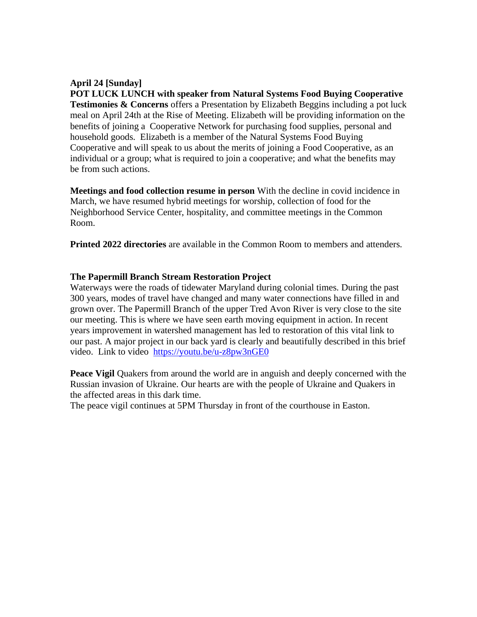# **April 24 [Sunday]**

**POT LUCK LUNCH with speaker from Natural Systems Food Buying Cooperative Testimonies & Concerns** offers a Presentation by Elizabeth Beggins including a pot luck meal on April 24th at the Rise of Meeting. Elizabeth will be providing information on the benefits of joining a Cooperative Network for purchasing food supplies, personal and household goods. Elizabeth is a member of the Natural Systems Food Buying Cooperative and will speak to us about the merits of joining a Food Cooperative, as an individual or a group; what is required to join a cooperative; and what the benefits may be from such actions.

**Meetings and food collection resume in person** With the decline in covid incidence in March, we have resumed hybrid meetings for worship, collection of food for the Neighborhood Service Center, hospitality, and committee meetings in the Common Room.

**Printed 2022 directories** are available in the Common Room to members and attenders.

## **The Papermill Branch Stream Restoration Project**

Waterways were the roads of tidewater Maryland during colonial times. During the past 300 years, modes of travel have changed and many water connections have filled in and grown over. The Papermill Branch of the upper Tred Avon River is very close to the site our meeting. This is where we have seen earth moving equipment in action. In recent years improvement in watershed management has led to restoration of this vital link to our past. A major project in our back yard is clearly and beautifully described in this brief video. Link to video <https://youtu.be/u-z8pw3nGE0>

**Peace Vigil** Quakers from around the world are in anguish and deeply concerned with the Russian invasion of Ukraine. Our hearts are with the people of Ukraine and Quakers in the affected areas in this dark time.

The peace vigil continues at 5PM Thursday in front of the courthouse in Easton.